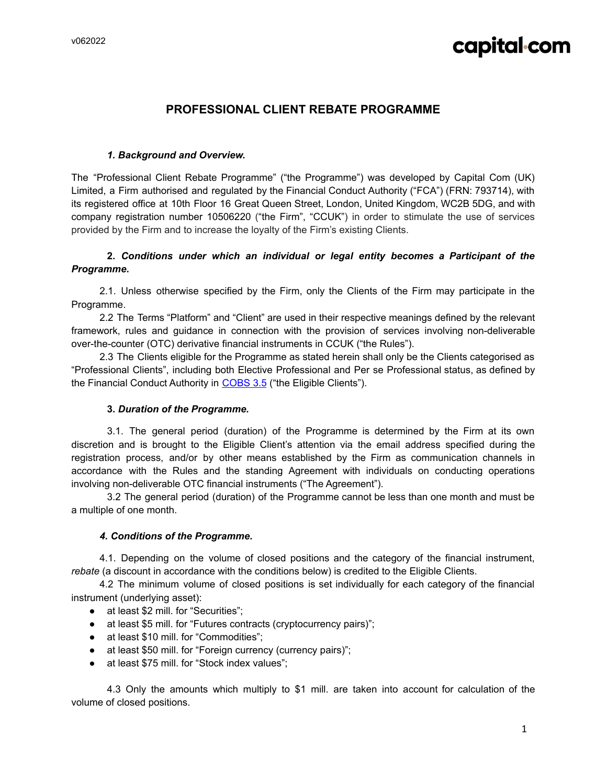## capital-com

### **PROFESSIONAL CLIENT REBATE PROGRAMME**

#### *1. Background and Overview.*

The "Professional Client Rebate Programme" ("the Programme") was developed by Capital Com (UK) Limited, a Firm authorised and regulated by the Financial Conduct Authority ("FCA") (FRN: 793714), with its registered office at 10th Floor 16 Great Queen Street, London, United Kingdom, WC2B 5DG, and with company registration number 10506220 ("the Firm", "CCUK") in order to stimulate the use of services provided by the Firm and to increase the loyalty of the Firm's existing Clients.

#### **2.** *Conditions under which an individual or legal entity becomes a Participant of the Programme***.**

2.1. Unless otherwise specified by the Firm, only the Clients of the Firm may participate in the Programme.

2.2 The Terms "Platform" and "Client" are used in their respective meanings defined by the relevant framework, rules and guidance in connection with the provision of services involving non-deliverable over-the-counter (OTC) derivative financial instruments in CCUK ("the Rules").

2.3 The Clients eligible for the Programme as stated herein shall only be the Clients categorised as "Professional Clients", including both Elective Professional and Per se Professional status, as defined by the Financial Conduct Authority in [COBS](https://www.handbook.fca.org.uk/handbook/COBS/3/5.html) 3.5 ("the Eligible Clients").

#### **3.** *Duration of the Programme.*

3.1. The general period (duration) of the Programme is determined by the Firm at its own discretion and is brought to the Eligible Client's attention via the email address specified during the registration process, and/or by other means established by the Firm as communication channels in accordance with the Rules and the standing Agreement with individuals on conducting operations involving non-deliverable OTC financial instruments ("The Agreement").

3.2 The general period (duration) of the Programme cannot be less than one month and must be a multiple of one month.

#### *4. Conditions of the Programme.*

4.1. Depending on the volume of closed positions and the category of the financial instrument, *rebate* (a discount in accordance with the conditions below) is credited to the Eligible Clients.

4.2 The minimum volume of closed positions is set individually for each category of the financial instrument (underlying asset):

- at least \$2 mill. for "Securities";
- at least \$5 mill. for "Futures contracts (cryptocurrency pairs)";
- at least \$10 mill. for "Commodities";
- at least \$50 mill. for "Foreign currency (currency pairs)";
- at least \$75 mill. for "Stock index values";

4.3 Only the amounts which multiply to \$1 mill. are taken into account for calculation of the volume of closed positions.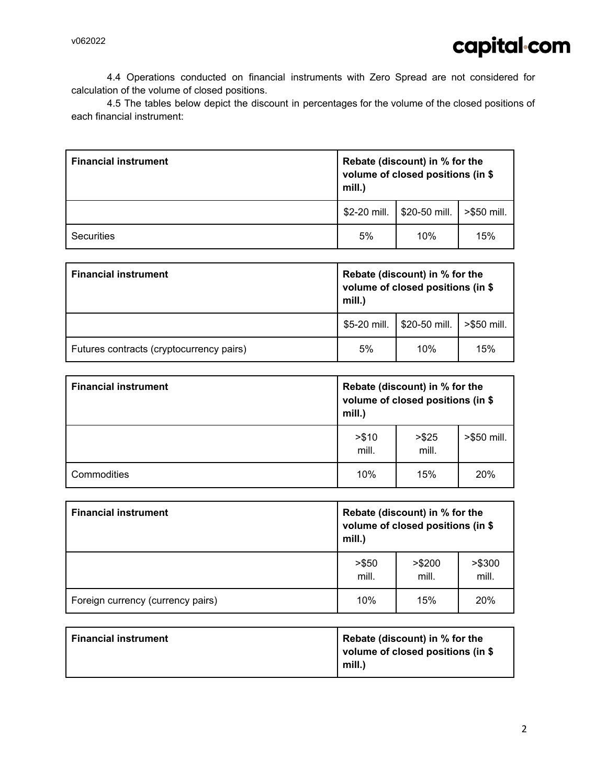4.4 Operations conducted on financial instruments with Zero Spread are not considered for calculation of the volume of closed positions.

4.5 The tables below depict the discount in percentages for the volume of the closed positions of each financial instrument:

| <b>Financial instrument</b> | Rebate (discount) in % for the<br>volume of closed positions (in \$<br>mill.) |               |             |
|-----------------------------|-------------------------------------------------------------------------------|---------------|-------------|
|                             | \$2-20 mill.                                                                  | \$20-50 mill. | >\$50 mill. |
| Securities                  | 5%                                                                            | 10%           | 15%         |

| <b>Financial instrument</b>              | Rebate (discount) in % for the<br>volume of closed positions (in \$<br>mill.) |               |             |
|------------------------------------------|-------------------------------------------------------------------------------|---------------|-------------|
|                                          | \$5-20 mill.                                                                  | \$20-50 mill. | >\$50 mill. |
| Futures contracts (cryptocurrency pairs) | 5%                                                                            | 10%           | 15%         |

| <b>Financial instrument</b> | Rebate (discount) in % for the<br>volume of closed positions (in \$<br>mill.) |                 |             |
|-----------------------------|-------------------------------------------------------------------------------|-----------------|-------------|
|                             | > \$10<br>mill.                                                               | > \$25<br>mill. | >\$50 mill. |
| Commodities                 | 10%                                                                           | 15%             | 20%         |

| <b>Financial instrument</b>       | Rebate (discount) in % for the<br>volume of closed positions (in \$<br>mill.) |                  |                  |
|-----------------------------------|-------------------------------------------------------------------------------|------------------|------------------|
|                                   | > \$50<br>mill.                                                               | > \$200<br>mill. | > \$300<br>mill. |
| Foreign currency (currency pairs) | 10%                                                                           | 15%              | 20%              |

| <b>Financial instrument</b> | Rebate (discount) in % for the<br>volume of closed positions (in \$<br>mill.) |
|-----------------------------|-------------------------------------------------------------------------------|
|                             |                                                                               |